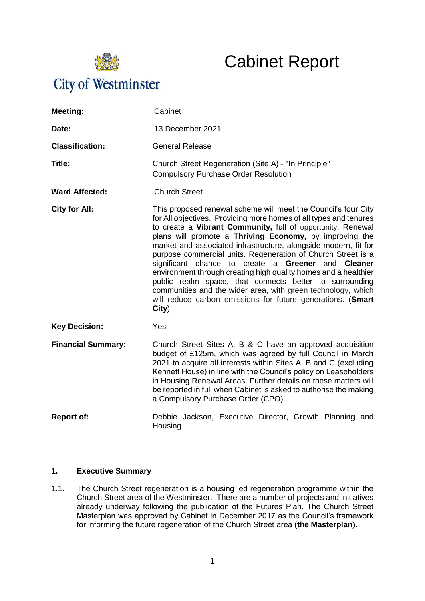

# Cabinet Report

| Meeting:                  | Cabinet                                                                                                                                                                                                                                                                                                                                                                                                                                                                                                                                                                                                                                                                                                                       |
|---------------------------|-------------------------------------------------------------------------------------------------------------------------------------------------------------------------------------------------------------------------------------------------------------------------------------------------------------------------------------------------------------------------------------------------------------------------------------------------------------------------------------------------------------------------------------------------------------------------------------------------------------------------------------------------------------------------------------------------------------------------------|
| Date:                     | 13 December 2021                                                                                                                                                                                                                                                                                                                                                                                                                                                                                                                                                                                                                                                                                                              |
| <b>Classification:</b>    | <b>General Release</b>                                                                                                                                                                                                                                                                                                                                                                                                                                                                                                                                                                                                                                                                                                        |
| Title:                    | Church Street Regeneration (Site A) - "In Principle"<br><b>Compulsory Purchase Order Resolution</b>                                                                                                                                                                                                                                                                                                                                                                                                                                                                                                                                                                                                                           |
| <b>Ward Affected:</b>     | <b>Church Street</b>                                                                                                                                                                                                                                                                                                                                                                                                                                                                                                                                                                                                                                                                                                          |
| City for All:             | This proposed renewal scheme will meet the Council's four City<br>for All objectives. Providing more homes of all types and tenures<br>to create a Vibrant Community, full of opportunity. Renewal<br>plans will promote a Thriving Economy, by improving the<br>market and associated infrastructure, alongside modern, fit for<br>purpose commercial units. Regeneration of Church Street is a<br>significant chance to create a Greener and Cleaner<br>environment through creating high quality homes and a healthier<br>public realm space, that connects better to surrounding<br>communities and the wider area, with green technology, which<br>will reduce carbon emissions for future generations. (Smart<br>City). |
| <b>Key Decision:</b>      | Yes                                                                                                                                                                                                                                                                                                                                                                                                                                                                                                                                                                                                                                                                                                                           |
| <b>Financial Summary:</b> | Church Street Sites A, B & C have an approved acquisition<br>budget of £125m, which was agreed by full Council in March<br>2021 to acquire all interests within Sites A, B and C (excluding<br>Kennett House) in line with the Council's policy on Leaseholders<br>in Housing Renewal Areas. Further details on these matters will<br>be reported in full when Cabinet is asked to authorise the making<br>a Compulsory Purchase Order (CPO).                                                                                                                                                                                                                                                                                 |
| <b>Report of:</b>         | Debbie Jackson, Executive Director, Growth Planning and<br>Housing                                                                                                                                                                                                                                                                                                                                                                                                                                                                                                                                                                                                                                                            |

### **1. Executive Summary**

1.1. The Church Street regeneration is a housing led regeneration programme within the Church Street area of the Westminster. There are a number of projects and initiatives already underway following the publication of the Futures Plan. The Church Street Masterplan was approved by Cabinet in December 2017 as the Council's framework for informing the future regeneration of the Church Street area (**the Masterplan**).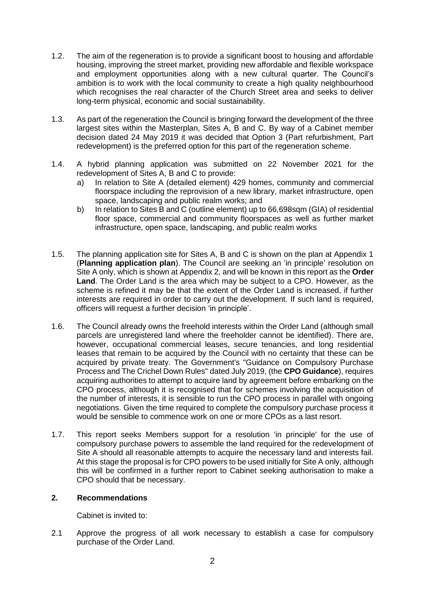- 1.2. The aim of the regeneration is to provide a significant boost to housing and affordable housing, improving the street market, providing new affordable and flexible workspace and employment opportunities along with a new cultural quarter. The Council's ambition is to work with the local community to create a high quality neighbourhood which recognises the real character of the Church Street area and seeks to deliver long-term physical, economic and social sustainability.
- 1.3. As part of the regeneration the Council is bringing forward the development of the three largest sites within the Masterplan, Sites A, B and C. By way of a Cabinet member decision dated 24 May 2019 it was decided that Option 3 (Part refurbishment, Part redevelopment) is the preferred option for this part of the regeneration scheme.
- 1.4. A hybrid planning application was submitted on 22 November 2021 for the redevelopment of Sites A, B and C to provide:
	- a) In relation to Site A (detailed element) 429 homes, community and commercial floorspace including the reprovision of a new library, market infrastructure, open space, landscaping and public realm works; and
	- b) In relation to Sites B and C (outline element) up to 66,698sqm (GIA) of residential floor space, commercial and community floorspaces as well as further market infrastructure, open space, landscaping, and public realm works
- 1.5. The planning application site for Sites A, B and C is shown on the plan at Appendix 1 (**Planning application plan**). The Council are seeking an 'in principle' resolution on Site A only, which is shown at Appendix 2, and will be known in this report as the **Order Land**. The Order Land is the area which may be subject to a CPO. However, as the scheme is refined it may be that the extent of the Order Land is increased, if further interests are required in order to carry out the development. If such land is required, officers will request a further decision 'in principle'.
- 1.6. The Council already owns the freehold interests within the Order Land (although small parcels are unregistered land where the freeholder cannot be identified). There are, however, occupational commercial leases, secure tenancies, and long residential leases that remain to be acquired by the Council with no certainty that these can be acquired by private treaty. The Government's "Guidance on Compulsory Purchase Process and The Crichel Down Rules" dated July 2019, (the **CPO Guidance**), requires acquiring authorities to attempt to acquire land by agreement before embarking on the CPO process, although it is recognised that for schemes involving the acquisition of the number of interests, it is sensible to run the CPO process in parallel with ongoing negotiations. Given the time required to complete the compulsory purchase process it would be sensible to commence work on one or more CPOs as a last resort.
- 1.7. This report seeks Members support for a resolution 'in principle' for the use of compulsory purchase powers to assemble the land required for the redevelopment of Site A should all reasonable attempts to acquire the necessary land and interests fail. At this stage the proposal is for CPO powers to be used initially for Site A only, although this will be confirmed in a further report to Cabinet seeking authorisation to make a CPO should that be necessary.

### **2. Recommendations**

Cabinet is invited to:

2.1 Approve the progress of all work necessary to establish a case for compulsory purchase of the Order Land.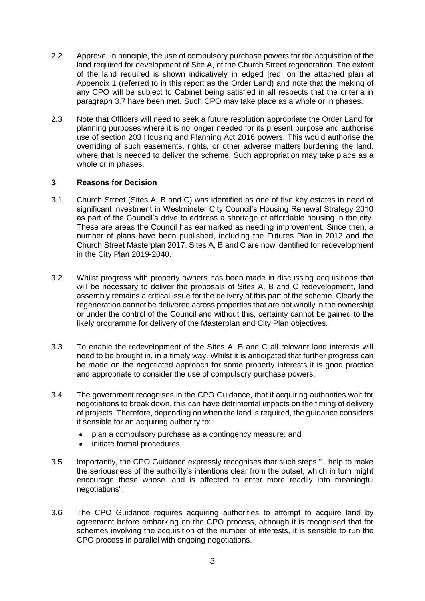- 2.2 Approve, in principle, the use of compulsory purchase powers for the acquisition of the land required for development of Site A, of the Church Street regeneration. The extent of the land required is shown indicatively in edged [red] on the attached plan at Appendix 1 (referred to in this report as the Order Land) and note that the making of any CPO will be subject to Cabinet being satisfied in all respects that the criteria in paragraph 3.7 have been met. Such CPO may take place as a whole or in phases.
- 2.3 Note that Officers will need to seek a future resolution appropriate the Order Land for planning purposes where it is no longer needed for its present purpose and authorise use of section 203 Housing and Planning Act 2016 powers. This would authorise the overriding of such easements, rights, or other adverse matters burdening the land, where that is needed to deliver the scheme. Such appropriation may take place as a whole or in phases.

# **3 Reasons for Decision**

- 3.1 Church Street (Sites A, B and C) was identified as one of five key estates in need of significant investment in Westminster City Council's Housing Renewal Strategy 2010 as part of the Council's drive to address a shortage of affordable housing in the city. These are areas the Council has earmarked as needing improvement. Since then, a number of plans have been published, including the Futures Plan in 2012 and the Church Street Masterplan 2017. Sites A, B and C are now identified for redevelopment in the City Plan 2019-2040.
- 3.2 Whilst progress with property owners has been made in discussing acquisitions that will be necessary to deliver the proposals of Sites A, B and C redevelopment, land assembly remains a critical issue for the delivery of this part of the scheme. Clearly the regeneration cannot be delivered across properties that are not wholly in the ownership or under the control of the Council and without this, certainty cannot be gained to the likely programme for delivery of the Masterplan and City Plan objectives.
- 3.3 To enable the redevelopment of the Sites A, B and C all relevant land interests will need to be brought in, in a timely way. Whilst it is anticipated that further progress can be made on the negotiated approach for some property interests it is good practice and appropriate to consider the use of compulsory purchase powers.
- 3.4 The government recognises in the CPO Guidance, that if acquiring authorities wait for negotiations to break down, this can have detrimental impacts on the timing of delivery of projects. Therefore, depending on when the land is required, the guidance considers it sensible for an acquiring authority to:
	- plan a compulsory purchase as a contingency measure; and
	- initiate formal procedures.
- 3.5 Importantly, the CPO Guidance expressly recognises that such steps "...help to make the seriousness of the authority's intentions clear from the outset, which in turn might encourage those whose land is affected to enter more readily into meaningful negotiations".
- 3.6 The CPO Guidance requires acquiring authorities to attempt to acquire land by agreement before embarking on the CPO process, although it is recognised that for schemes involving the acquisition of the number of interests, it is sensible to run the CPO process in parallel with ongoing negotiations.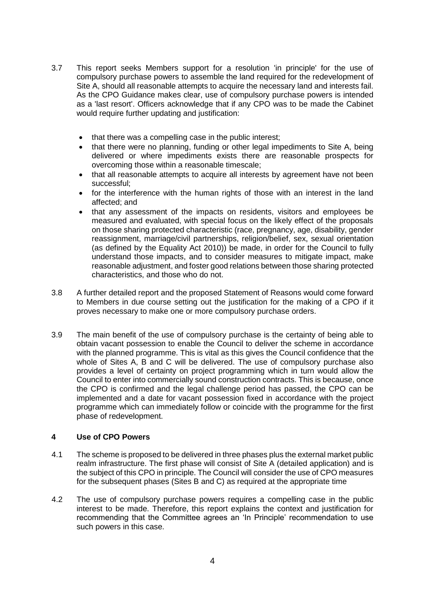- 3.7 This report seeks Members support for a resolution 'in principle' for the use of compulsory purchase powers to assemble the land required for the redevelopment of Site A, should all reasonable attempts to acquire the necessary land and interests fail. As the CPO Guidance makes clear, use of compulsory purchase powers is intended as a 'last resort'. Officers acknowledge that if any CPO was to be made the Cabinet would require further updating and justification:
	- that there was a compelling case in the public interest;
	- that there were no planning, funding or other legal impediments to Site A, being delivered or where impediments exists there are reasonable prospects for overcoming those within a reasonable timescale;
	- that all reasonable attempts to acquire all interests by agreement have not been successful;
	- for the interference with the human rights of those with an interest in the land affected; and
	- that any assessment of the impacts on residents, visitors and employees be measured and evaluated, with special focus on the likely effect of the proposals on those sharing protected characteristic (race, pregnancy, age, disability, gender reassignment, marriage/civil partnerships, religion/belief, sex, sexual orientation (as defined by the Equality Act 2010)) be made, in order for the Council to fully understand those impacts, and to consider measures to mitigate impact, make reasonable adjustment, and foster good relations between those sharing protected characteristics, and those who do not.
- 3.8 A further detailed report and the proposed Statement of Reasons would come forward to Members in due course setting out the justification for the making of a CPO if it proves necessary to make one or more compulsory purchase orders.
- 3.9 The main benefit of the use of compulsory purchase is the certainty of being able to obtain vacant possession to enable the Council to deliver the scheme in accordance with the planned programme. This is vital as this gives the Council confidence that the whole of Sites A, B and C will be delivered. The use of compulsory purchase also provides a level of certainty on project programming which in turn would allow the Council to enter into commercially sound construction contracts. This is because, once the CPO is confirmed and the legal challenge period has passed, the CPO can be implemented and a date for vacant possession fixed in accordance with the project programme which can immediately follow or coincide with the programme for the first phase of redevelopment.

### **4 Use of CPO Powers**

- 4.1 The scheme is proposed to be delivered in three phases plus the external market public realm infrastructure. The first phase will consist of Site A (detailed application) and is the subject of this CPO in principle. The Council will consider the use of CPO measures for the subsequent phases (Sites B and C) as required at the appropriate time
- 4.2 The use of compulsory purchase powers requires a compelling case in the public interest to be made. Therefore, this report explains the context and justification for recommending that the Committee agrees an 'In Principle' recommendation to use such powers in this case.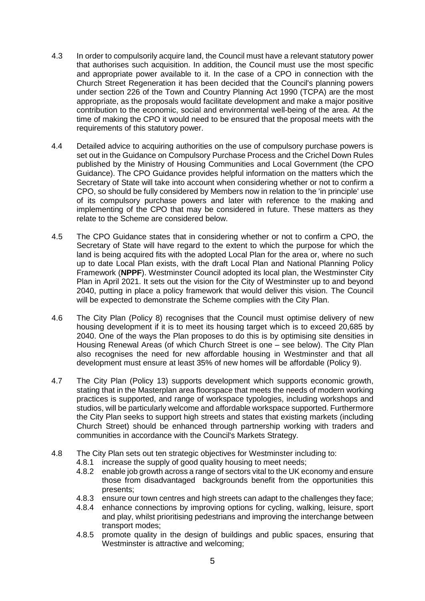- 4.3 In order to compulsorily acquire land, the Council must have a relevant statutory power that authorises such acquisition. In addition, the Council must use the most specific and appropriate power available to it. In the case of a CPO in connection with the Church Street Regeneration it has been decided that the Council's planning powers under section 226 of the Town and Country Planning Act 1990 (TCPA) are the most appropriate, as the proposals would facilitate development and make a major positive contribution to the economic, social and environmental well-being of the area. At the time of making the CPO it would need to be ensured that the proposal meets with the requirements of this statutory power.
- 4.4 Detailed advice to acquiring authorities on the use of compulsory purchase powers is set out in the Guidance on Compulsory Purchase Process and the Crichel Down Rules published by the Ministry of Housing Communities and Local Government (the CPO Guidance). The CPO Guidance provides helpful information on the matters which the Secretary of State will take into account when considering whether or not to confirm a CPO, so should be fully considered by Members now in relation to the 'in principle' use of its compulsory purchase powers and later with reference to the making and implementing of the CPO that may be considered in future. These matters as they relate to the Scheme are considered below.
- 4.5 The CPO Guidance states that in considering whether or not to confirm a CPO, the Secretary of State will have regard to the extent to which the purpose for which the land is being acquired fits with the adopted Local Plan for the area or, where no such up to date Local Plan exists, with the draft Local Plan and National Planning Policy Framework (**NPPF**). Westminster Council adopted its local plan, the Westminster City Plan in April 2021. It sets out the vision for the City of Westminster up to and beyond 2040, putting in place a policy framework that would deliver this vision. The Council will be expected to demonstrate the Scheme complies with the City Plan.
- 4.6 The City Plan (Policy 8) recognises that the Council must optimise delivery of new housing development if it is to meet its housing target which is to exceed 20,685 by 2040. One of the ways the Plan proposes to do this is by optimising site densities in Housing Renewal Areas (of which Church Street is one – see below). The City Plan also recognises the need for new affordable housing in Westminster and that all development must ensure at least 35% of new homes will be affordable (Policy 9).
- 4.7 The City Plan (Policy 13) supports development which supports economic growth, stating that in the Masterplan area floorspace that meets the needs of modern working practices is supported, and range of workspace typologies, including workshops and studios, will be particularly welcome and affordable workspace supported. Furthermore the City Plan seeks to support high streets and states that existing markets (including Church Street) should be enhanced through partnership working with traders and communities in accordance with the Council's Markets Strategy.
- 4.8 The City Plan sets out ten strategic objectives for Westminster including to:
	- 4.8.1 increase the supply of good quality housing to meet needs;
	- 4.8.2 enable job growth across a range of sectors vital to the UK economy and ensure those from disadvantaged backgrounds benefit from the opportunities this presents;
	- 4.8.3 ensure our town centres and high streets can adapt to the challenges they face;
	- 4.8.4 enhance connections by improving options for cycling, walking, leisure, sport and play, whilst prioritising pedestrians and improving the interchange between transport modes;
	- 4.8.5 promote quality in the design of buildings and public spaces, ensuring that Westminster is attractive and welcoming;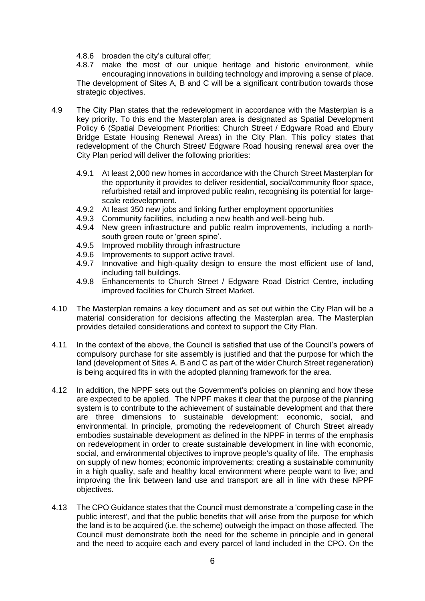4.8.6 broaden the city's cultural offer;

4.8.7 make the most of our unique heritage and historic environment, while encouraging innovations in building technology and improving a sense of place. The development of Sites A, B and C will be a significant contribution towards those strategic objectives.

- 4.9 The City Plan states that the redevelopment in accordance with the Masterplan is a key priority. To this end the Masterplan area is designated as Spatial Development Policy 6 (Spatial Development Priorities: Church Street / Edgware Road and Ebury Bridge Estate Housing Renewal Areas) in the City Plan. This policy states that redevelopment of the Church Street/ Edgware Road housing renewal area over the City Plan period will deliver the following priorities:
	- 4.9.1 At least 2,000 new homes in accordance with the Church Street Masterplan for the opportunity it provides to deliver residential, social/community floor space, refurbished retail and improved public realm, recognising its potential for largescale redevelopment.
	- 4.9.2 At least 350 new jobs and linking further employment opportunities
	- 4.9.3 Community facilities, including a new health and well-being hub.
	- 4.9.4 New green infrastructure and public realm improvements, including a northsouth green route or 'green spine'.
	- 4.9.5 Improved mobility through infrastructure
	- 4.9.6 Improvements to support active travel.
	- 4.9.7 Innovative and high-quality design to ensure the most efficient use of land, including tall buildings.
	- 4.9.8 Enhancements to Church Street / Edgware Road District Centre, including improved facilities for Church Street Market.
- 4.10 The Masterplan remains a key document and as set out within the City Plan will be a material consideration for decisions affecting the Masterplan area. The Masterplan provides detailed considerations and context to support the City Plan.
- 4.11 In the context of the above, the Council is satisfied that use of the Council's powers of compulsory purchase for site assembly is justified and that the purpose for which the land (development of Sites A. B and C as part of the wider Church Street regeneration) is being acquired fits in with the adopted planning framework for the area.
- 4.12 In addition, the NPPF sets out the Government's policies on planning and how these are expected to be applied. The NPPF makes it clear that the purpose of the planning system is to contribute to the achievement of sustainable development and that there are three dimensions to sustainable development: economic, social, and environmental. In principle, promoting the redevelopment of Church Street already embodies sustainable development as defined in the NPPF in terms of the emphasis on redevelopment in order to create sustainable development in line with economic, social, and environmental objectives to improve people's quality of life. The emphasis on supply of new homes; economic improvements; creating a sustainable community in a high quality, safe and healthy local environment where people want to live; and improving the link between land use and transport are all in line with these NPPF objectives.
- 4.13 The CPO Guidance states that the Council must demonstrate a 'compelling case in the public interest', and that the public benefits that will arise from the purpose for which the land is to be acquired (i.e. the scheme) outweigh the impact on those affected. The Council must demonstrate both the need for the scheme in principle and in general and the need to acquire each and every parcel of land included in the CPO. On the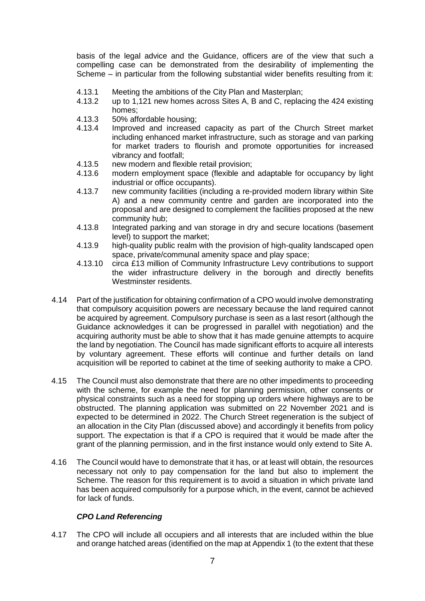basis of the legal advice and the Guidance, officers are of the view that such a compelling case can be demonstrated from the desirability of implementing the Scheme – in particular from the following substantial wider benefits resulting from it:

- 4.13.1 Meeting the ambitions of the City Plan and Masterplan;
- 4.13.2 up to 1,121 new homes across Sites A, B and C, replacing the 424 existing homes;
- 4.13.3 50% affordable housing;
- 4.13.4 Improved and increased capacity as part of the Church Street market including enhanced market infrastructure, such as storage and van parking for market traders to flourish and promote opportunities for increased vibrancy and footfall;
- 4.13.5 new modern and flexible retail provision;
- 4.13.6 modern employment space (flexible and adaptable for occupancy by light industrial or office occupants).
- 4.13.7 new community facilities (including a re-provided modern library within Site A) and a new community centre and garden are incorporated into the proposal and are designed to complement the facilities proposed at the new community hub;
- 4.13.8 Integrated parking and van storage in dry and secure locations (basement level) to support the market;
- 4.13.9 high-quality public realm with the provision of high-quality landscaped open space, private/communal amenity space and play space;
- 4.13.10 circa £13 million of Community Infrastructure Levy contributions to support the wider infrastructure delivery in the borough and directly benefits Westminster residents.
- 4.14 Part of the justification for obtaining confirmation of a CPO would involve demonstrating that compulsory acquisition powers are necessary because the land required cannot be acquired by agreement. Compulsory purchase is seen as a last resort (although the Guidance acknowledges it can be progressed in parallel with negotiation) and the acquiring authority must be able to show that it has made genuine attempts to acquire the land by negotiation. The Council has made significant efforts to acquire all interests by voluntary agreement. These efforts will continue and further details on land acquisition will be reported to cabinet at the time of seeking authority to make a CPO.
- 4.15 The Council must also demonstrate that there are no other impediments to proceeding with the scheme, for example the need for planning permission, other consents or physical constraints such as a need for stopping up orders where highways are to be obstructed. The planning application was submitted on 22 November 2021 and is expected to be determined in 2022. The Church Street regeneration is the subject of an allocation in the City Plan (discussed above) and accordingly it benefits from policy support. The expectation is that if a CPO is required that it would be made after the grant of the planning permission, and in the first instance would only extend to Site A.
- 4.16 The Council would have to demonstrate that it has, or at least will obtain, the resources necessary not only to pay compensation for the land but also to implement the Scheme. The reason for this requirement is to avoid a situation in which private land has been acquired compulsorily for a purpose which, in the event, cannot be achieved for lack of funds.

#### *CPO Land Referencing*

4.17 The CPO will include all occupiers and all interests that are included within the blue and orange hatched areas (identified on the map at Appendix 1 (to the extent that these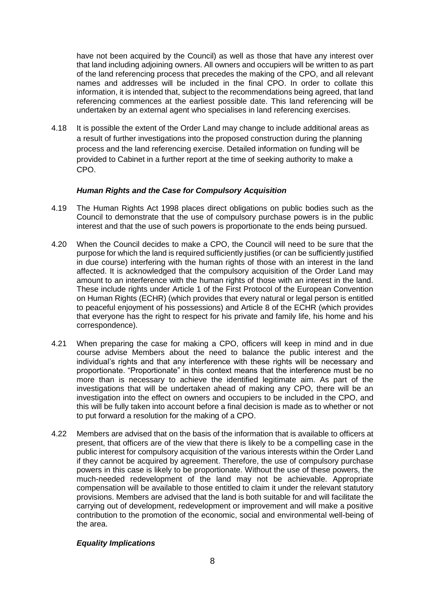have not been acquired by the Council) as well as those that have any interest over that land including adjoining owners. All owners and occupiers will be written to as part of the land referencing process that precedes the making of the CPO, and all relevant names and addresses will be included in the final CPO. In order to collate this information, it is intended that, subject to the recommendations being agreed, that land referencing commences at the earliest possible date. This land referencing will be undertaken by an external agent who specialises in land referencing exercises.

4.18 It is possible the extent of the Order Land may change to include additional areas as a result of further investigations into the proposed construction during the planning process and the land referencing exercise. Detailed information on funding will be provided to Cabinet in a further report at the time of seeking authority to make a CPO.

### *Human Rights and the Case for Compulsory Acquisition*

- 4.19 The Human Rights Act 1998 places direct obligations on public bodies such as the Council to demonstrate that the use of compulsory purchase powers is in the public interest and that the use of such powers is proportionate to the ends being pursued.
- 4.20 When the Council decides to make a CPO, the Council will need to be sure that the purpose for which the land is required sufficiently justifies (or can be sufficiently justified in due course) interfering with the human rights of those with an interest in the land affected. It is acknowledged that the compulsory acquisition of the Order Land may amount to an interference with the human rights of those with an interest in the land. These include rights under Article 1 of the First Protocol of the European Convention on Human Rights (ECHR) (which provides that every natural or legal person is entitled to peaceful enjoyment of his possessions) and Article 8 of the ECHR (which provides that everyone has the right to respect for his private and family life, his home and his correspondence).
- 4.21 When preparing the case for making a CPO, officers will keep in mind and in due course advise Members about the need to balance the public interest and the individual's rights and that any interference with these rights will be necessary and proportionate. "Proportionate" in this context means that the interference must be no more than is necessary to achieve the identified legitimate aim. As part of the investigations that will be undertaken ahead of making any CPO, there will be an investigation into the effect on owners and occupiers to be included in the CPO, and this will be fully taken into account before a final decision is made as to whether or not to put forward a resolution for the making of a CPO.
- 4.22 Members are advised that on the basis of the information that is available to officers at present, that officers are of the view that there is likely to be a compelling case in the public interest for compulsory acquisition of the various interests within the Order Land if they cannot be acquired by agreement. Therefore, the use of compulsory purchase powers in this case is likely to be proportionate. Without the use of these powers, the much-needed redevelopment of the land may not be achievable. Appropriate compensation will be available to those entitled to claim it under the relevant statutory provisions. Members are advised that the land is both suitable for and will facilitate the carrying out of development, redevelopment or improvement and will make a positive contribution to the promotion of the economic, social and environmental well-being of the area.

# *Equality Implications*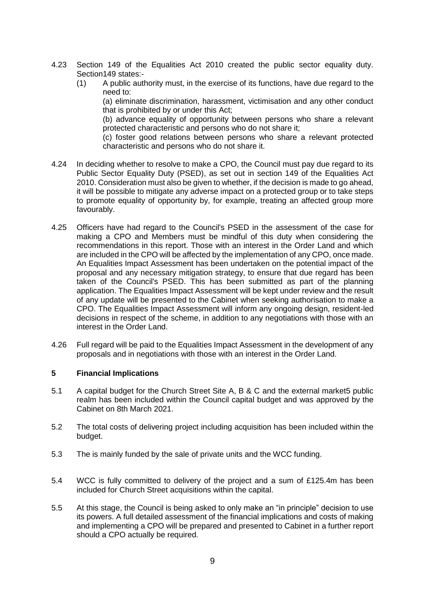- 4.23 Section 149 of the Equalities Act 2010 created the public sector equality duty. Section149 states:-
	- (1) A public authority must, in the exercise of its functions, have due regard to the need to:

(a) eliminate discrimination, harassment, victimisation and any other conduct that is prohibited by or under this Act;

(b) advance equality of opportunity between persons who share a relevant protected characteristic and persons who do not share it;

(c) foster good relations between persons who share a relevant protected characteristic and persons who do not share it.

- 4.24 In deciding whether to resolve to make a CPO, the Council must pay due regard to its Public Sector Equality Duty (PSED), as set out in section 149 of the Equalities Act 2010. Consideration must also be given to whether, if the decision is made to go ahead, it will be possible to mitigate any adverse impact on a protected group or to take steps to promote equality of opportunity by, for example, treating an affected group more favourably.
- 4.25 Officers have had regard to the Council's PSED in the assessment of the case for making a CPO and Members must be mindful of this duty when considering the recommendations in this report. Those with an interest in the Order Land and which are included in the CPO will be affected by the implementation of any CPO, once made. An Equalities Impact Assessment has been undertaken on the potential impact of the proposal and any necessary mitigation strategy, to ensure that due regard has been taken of the Council's PSED. This has been submitted as part of the planning application. The Equalities Impact Assessment will be kept under review and the result of any update will be presented to the Cabinet when seeking authorisation to make a CPO. The Equalities Impact Assessment will inform any ongoing design, resident-led decisions in respect of the scheme, in addition to any negotiations with those with an interest in the Order Land.
- 4.26 Full regard will be paid to the Equalities Impact Assessment in the development of any proposals and in negotiations with those with an interest in the Order Land.

### **5 Financial Implications**

- 5.1 A capital budget for the Church Street Site A, B & C and the external market5 public realm has been included within the Council capital budget and was approved by the Cabinet on 8th March 2021.
- 5.2 The total costs of delivering project including acquisition has been included within the budget.
- 5.3 The is mainly funded by the sale of private units and the WCC funding.
- 5.4 WCC is fully committed to delivery of the project and a sum of £125.4m has been included for Church Street acquisitions within the capital.
- 5.5 At this stage, the Council is being asked to only make an "in principle" decision to use its powers. A full detailed assessment of the financial implications and costs of making and implementing a CPO will be prepared and presented to Cabinet in a further report should a CPO actually be required.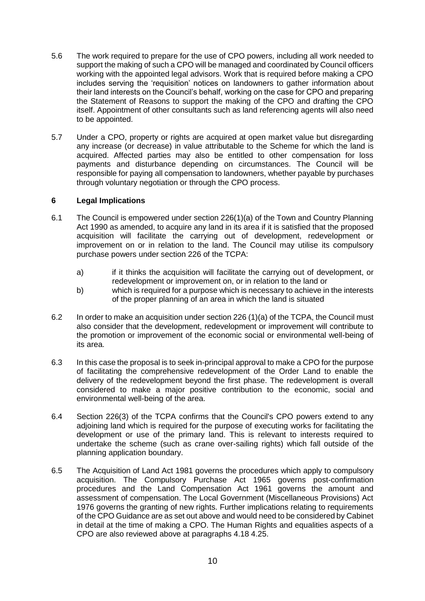- 5.6 The work required to prepare for the use of CPO powers, including all work needed to support the making of such a CPO will be managed and coordinated by Council officers working with the appointed legal advisors. Work that is required before making a CPO includes serving the 'requisition' notices on landowners to gather information about their land interests on the Council's behalf, working on the case for CPO and preparing the Statement of Reasons to support the making of the CPO and drafting the CPO itself. Appointment of other consultants such as land referencing agents will also need to be appointed.
- 5.7 Under a CPO, property or rights are acquired at open market value but disregarding any increase (or decrease) in value attributable to the Scheme for which the land is acquired. Affected parties may also be entitled to other compensation for loss payments and disturbance depending on circumstances. The Council will be responsible for paying all compensation to landowners, whether payable by purchases through voluntary negotiation or through the CPO process.

### **6 Legal Implications**

- 6.1 The Council is empowered under section 226(1)(a) of the Town and Country Planning Act 1990 as amended, to acquire any land in its area if it is satisfied that the proposed acquisition will facilitate the carrying out of development, redevelopment or improvement on or in relation to the land. The Council may utilise its compulsory purchase powers under section 226 of the TCPA:
	- a) if it thinks the acquisition will facilitate the carrying out of development, or redevelopment or improvement on, or in relation to the land or
	- b) which is required for a purpose which is necessary to achieve in the interests of the proper planning of an area in which the land is situated
- 6.2 In order to make an acquisition under section 226 (1)(a) of the TCPA, the Council must also consider that the development, redevelopment or improvement will contribute to the promotion or improvement of the economic social or environmental well-being of its area.
- 6.3 In this case the proposal is to seek in-principal approval to make a CPO for the purpose of facilitating the comprehensive redevelopment of the Order Land to enable the delivery of the redevelopment beyond the first phase. The redevelopment is overall considered to make a major positive contribution to the economic, social and environmental well-being of the area.
- 6.4 Section 226(3) of the TCPA confirms that the Council's CPO powers extend to any adjoining land which is required for the purpose of executing works for facilitating the development or use of the primary land. This is relevant to interests required to undertake the scheme (such as crane over-sailing rights) which fall outside of the planning application boundary.
- 6.5 The Acquisition of Land Act 1981 governs the procedures which apply to compulsory acquisition. The Compulsory Purchase Act 1965 governs post-confirmation procedures and the Land Compensation Act 1961 governs the amount and assessment of compensation. The Local Government (Miscellaneous Provisions) Act 1976 governs the granting of new rights. Further implications relating to requirements of the CPO Guidance are as set out above and would need to be considered by Cabinet in detail at the time of making a CPO. The Human Rights and equalities aspects of a CPO are also reviewed above at paragraphs 4.18 4.25.